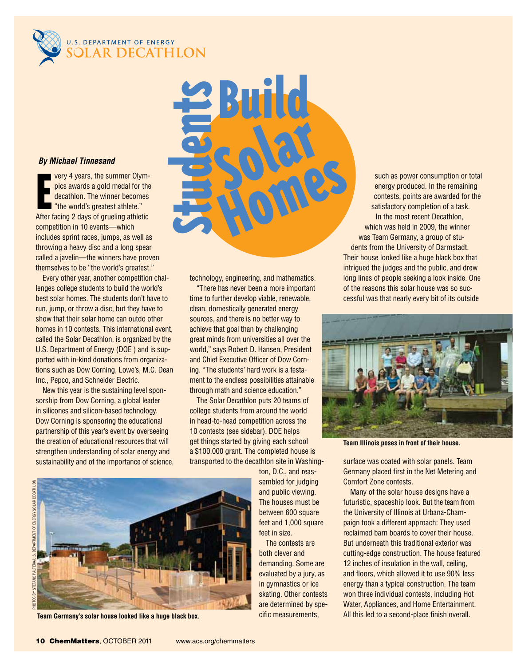

# .s. DEPARTMENT OF ENERGY<br>COLAR DECATHLON

### *By Michael Tinnesand*

very 4 years, the summer Olympics awards a gold medal for the<br>decathlon. The winner becomes<br>"the world's greatest athlete."<br>After facing 2 days of grueling athletic very 4 years, the summer Olympics awards a gold medal for the decathlon. The winner becomes "the world's greatest athlete." competition in 10 events—which includes sprint races, jumps, as well as throwing a heavy disc and a long spear called a javelin—the winners have proven themselves to be "the world's greatest."

Every other year, another competition challenges college students to build the world's best solar homes. The students don't have to run, jump, or throw a disc, but they have to show that their solar home can outdo other homes in 10 contests. This international event, called the Solar Decathlon, is organized by the U.S. Department of Energy (DOE ) and is supported with in-kind donations from organizations such as Dow Corning, Lowe's, M.C. Dean Inc., Pepco, and Schneider Electric.

New this year is the sustaining level sponsorship from Dow Corning, a global leader in silicones and silicon-based technology. Dow Corning is sponsoring the educational partnership of this year's event by overseeing the creation of educational resources that will strengthen understanding of solar energy and sustainability and of the importance of science, technology, engineering, and mathematics.

Students

Build

"There has never been a more important time to further develop viable, renewable, clean, domestically generated energy sources, and there is no better way to achieve that goal than by challenging great minds from universities all over the world," says Robert D. Hansen, President and Chief Executive Officer of Dow Corning. "The students' hard work is a testament to the endless possibilities attainable through math and science education."

The Solar Decathlon puts 20 teams of college students from around the world in head-to-head competition across the 10 contests (see sidebar). DOE helps get things started by giving each school a \$100,000 grant. The completed house is transported to the decathlon site in Washing-

Photos by Stefano Paltera/U.S. Department of Energy Solar Decathlon Ξ



**Team Germany's solar house looked like a huge black box.**

ton, D.C., and reassembled for judging and public viewing. The houses must be between 600 square feet and 1,000 square feet in size.

The contests are both clever and demanding. Some are evaluated by a jury, as in gymnastics or ice skating. Other contests are determined by specific measurements,

such as power consumption or total energy produced. In the remaining contests, points are awarded for the satisfactory completion of a task. In the most recent Decathlon, which was held in 2009, the winner was Team Germany, a group of students from the University of Darmstadt. Their house looked like a huge black box that intrigued the judges and the public, and drew long lines of people seeking a look inside. One of the reasons this solar house was so successful was that nearly every bit of its outside Homes



**Team Illinois poses in front of their house.**

surface was coated with solar panels. Team Germany placed first in the Net Metering and Comfort Zone contests.

Many of the solar house designs have a futuristic, spaceship look. But the team from the University of Illinois at Urbana-Champaign took a different approach: They used reclaimed barn boards to cover their house. But underneath this traditional exterior was cutting-edge construction. The house featured 12 inches of insulation in the wall, ceiling, and floors, which allowed it to use 90% less energy than a typical construction. The team won three individual contests, including Hot Water, Appliances, and Home Entertainment. All this led to a second-place finish overall.